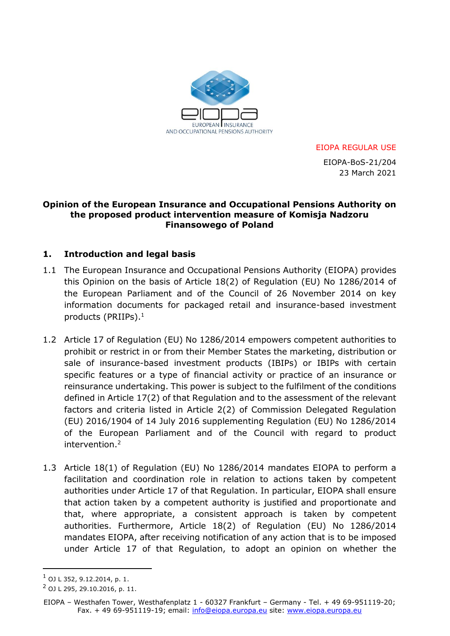

EIOPA REGULAR USE

 EIOPA-BoS-21/204 23 March 2021

#### **Opinion of the European Insurance and Occupational Pensions Authority on the proposed product intervention measure of Komisja Nadzoru Finansowego of Poland**

### **1. Introduction and legal basis**

- 1.1 The European Insurance and Occupational Pensions Authority (EIOPA) provides this Opinion on the basis of Article 18(2) of Regulation (EU) No 1286/2014 of the European Parliament and of the Council of 26 November 2014 on key information documents for packaged retail and insurance-based investment products (PRIIPs). 1
- 1.2 Article 17 of Regulation (EU) No 1286/2014 empowers competent authorities to prohibit or restrict in or from their Member States the marketing, distribution or sale of insurance-based investment products (IBIPs) or IBIPs with certain specific features or a type of financial activity or practice of an insurance or reinsurance undertaking. This power is subject to the fulfilment of the conditions defined in Article 17(2) of that Regulation and to the assessment of the relevant factors and criteria listed in Article 2(2) of Commission Delegated Regulation (EU) 2016/1904 of 14 July 2016 supplementing Regulation (EU) No 1286/2014 of the European Parliament and of the Council with regard to product intervention. 2
- 1.3 Article 18(1) of Regulation (EU) No 1286/2014 mandates EIOPA to perform a facilitation and coordination role in relation to actions taken by competent authorities under Article 17 of that Regulation. In particular, EIOPA shall ensure that action taken by a competent authority is justified and proportionate and that, where appropriate, a consistent approach is taken by competent authorities. Furthermore, Article 18(2) of Regulation (EU) No 1286/2014 mandates EIOPA, after receiving notification of any action that is to be imposed under Article 17 of that Regulation, to adopt an opinion on whether the

 $1$  OJ L 352, 9.12.2014, p. 1.

<sup>2</sup> OJ L 295, 29.10.2016, p. 11.

EIOPA – Westhafen Tower, Westhafenplatz 1 - 60327 Frankfurt – Germany - Tel. + 49 69-951119-20; Fax. + 49 69-951119-19; email: [info@eiopa.europa.eu](mailto:info@eiopa.europa.eu) site: [www.eiopa.europa.eu](https://eiopa.europa.eu/)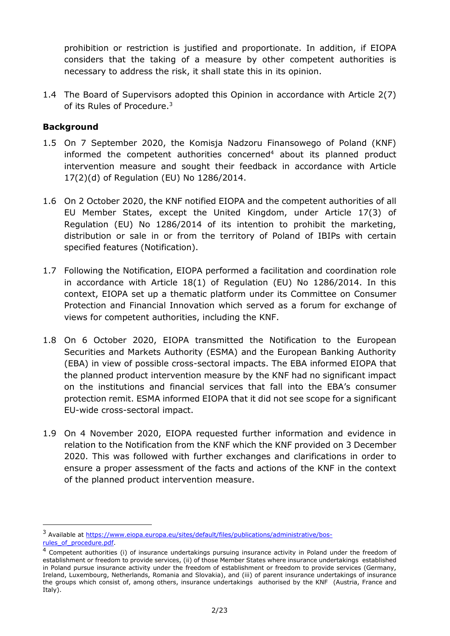prohibition or restriction is justified and proportionate. In addition, if EIOPA considers that the taking of a measure by other competent authorities is necessary to address the risk, it shall state this in its opinion.

1.4 The Board of Supervisors adopted this Opinion in accordance with Article 2(7) of its Rules of Procedure.<sup>3</sup>

## **Background**

- 1.5 On 7 September 2020, the Komisja Nadzoru Finansowego of Poland (KNF) informed the competent authorities concerned<sup>4</sup> about its planned product intervention measure and sought their feedback in accordance with Article 17(2)(d) of Regulation (EU) No 1286/2014.
- 1.6 On 2 October 2020, the KNF notified EIOPA and the competent authorities of all EU Member States, except the United Kingdom, under Article 17(3) of Regulation (EU) No 1286/2014 of its intention to prohibit the marketing, distribution or sale in or from the territory of Poland of IBIPs with certain specified features (Notification).
- 1.7 Following the Notification, EIOPA performed a facilitation and coordination role in accordance with Article 18(1) of Regulation (EU) No 1286/2014. In this context, EIOPA set up a thematic platform under its Committee on Consumer Protection and Financial Innovation which served as a forum for exchange of views for competent authorities, including the KNF.
- 1.8 On 6 October 2020, EIOPA transmitted the Notification to the European Securities and Markets Authority (ESMA) and the European Banking Authority (EBA) in view of possible cross-sectoral impacts. The EBA informed EIOPA that the planned product intervention measure by the KNF had no significant impact on the institutions and financial services that fall into the EBA's consumer protection remit. ESMA informed EIOPA that it did not see scope for a significant EU-wide cross-sectoral impact.
- 1.9 On 4 November 2020, EIOPA requested further information and evidence in relation to the Notification from the KNF which the KNF provided on 3 December 2020. This was followed with further exchanges and clarifications in order to ensure a proper assessment of the facts and actions of the KNF in the context of the planned product intervention measure.

<sup>&</sup>lt;sup>3</sup> Available at [https://www.eiopa.europa.eu/sites/default/files/publications/administrative/bos](https://www.eiopa.europa.eu/sites/default/files/publications/administrative/bos-rules_of_procedure.pdf)rules\_of\_procedure.pdf

<sup>&</sup>lt;sup>4</sup> Competent authorities (i) of insurance undertakings pursuing insurance activity in Poland under the freedom of establishment or freedom to provide services, (ii) of those Member States where insurance undertakings established in Poland pursue insurance activity under the freedom of establishment or freedom to provide services (Germany, Ireland, Luxembourg, Netherlands, Romania and Slovakia), and (iii) of parent insurance undertakings of insurance the groups which consist of, among others, insurance undertakings authorised by the KNF (Austria, France and Italy).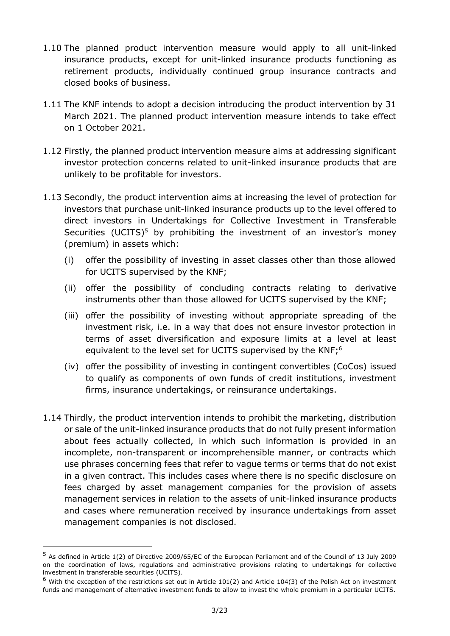- 1.10 The planned product intervention measure would apply to all unit-linked insurance products, except for unit-linked insurance products functioning as retirement products, individually continued group insurance contracts and closed books of business.
- 1.11 The KNF intends to adopt a decision introducing the product intervention by 31 March 2021. The planned product intervention measure intends to take effect on 1 October 2021.
- 1.12 Firstly, the planned product intervention measure aims at addressing significant investor protection concerns related to unit-linked insurance products that are unlikely to be profitable for investors.
- 1.13 Secondly, the product intervention aims at increasing the level of protection for investors that purchase unit-linked insurance products up to the level offered to direct investors in Undertakings for Collective Investment in Transferable Securities (UCITS) $5$  by prohibiting the investment of an investor's money (premium) in assets which:
	- (i) offer the possibility of investing in asset classes other than those allowed for UCITS supervised by the KNF;
	- (ii) offer the possibility of concluding contracts relating to derivative instruments other than those allowed for UCITS supervised by the KNF;
	- (iii) offer the possibility of investing without appropriate spreading of the investment risk, i.e. in a way that does not ensure investor protection in terms of asset diversification and exposure limits at a level at least equivalent to the level set for UCITS supervised by the KNF;<sup>6</sup>
	- (iv) offer the possibility of investing in contingent convertibles (CoCos) issued to qualify as components of own funds of credit institutions, investment firms, insurance undertakings, or reinsurance undertakings.
- 1.14 Thirdly, the product intervention intends to prohibit the marketing, distribution or sale of the unit-linked insurance products that do not fully present information about fees actually collected, in which such information is provided in an incomplete, non-transparent or incomprehensible manner, or contracts which use phrases concerning fees that refer to vague terms or terms that do not exist in a given contract. This includes cases where there is no specific disclosure on fees charged by asset management companies for the provision of assets management services in relation to the assets of unit-linked insurance products and cases where remuneration received by insurance undertakings from asset management companies is not disclosed.

<sup>5</sup> As defined in Article 1(2) of Directive 2009/65/EC of the European Parliament and of the Council of 13 July 2009 on the coordination of laws, regulations and administrative provisions relating to undertakings for collective investment in transferable securities (UCITS).

 $^6$  With the exception of the restrictions set out in Article 101(2) and Article 104(3) of the Polish Act on investment funds and management of alternative investment funds to allow to invest the whole premium in a particular UCITS.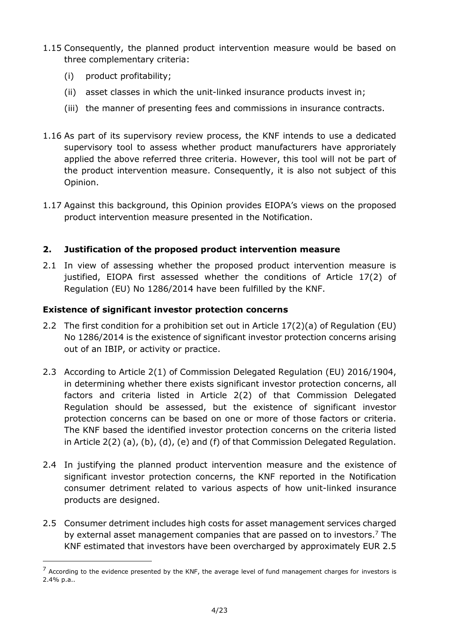- 1.15 Consequently, the planned product intervention measure would be based on three complementary criteria:
	- (i) product profitability;

-

- (ii) asset classes in which the unit-linked insurance products invest in;
- (iii) the manner of presenting fees and commissions in insurance contracts.
- 1.16 As part of its supervisory review process, the KNF intends to use a dedicated supervisory tool to assess whether product manufacturers have approriately applied the above referred three criteria. However, this tool will not be part of the product intervention measure. Consequently, it is also not subject of this Opinion.
- 1.17 Against this background, this Opinion provides EIOPA's views on the proposed product intervention measure presented in the Notification.

# **2. Justification of the proposed product intervention measure**

2.1 In view of assessing whether the proposed product intervention measure is justified, EIOPA first assessed whether the conditions of Article 17(2) of Regulation (EU) No 1286/2014 have been fulfilled by the KNF.

# **Existence of significant investor protection concerns**

- 2.2 The first condition for a prohibition set out in Article 17(2)(a) of Regulation (EU) No 1286/2014 is the existence of significant investor protection concerns arising out of an IBIP, or activity or practice.
- 2.3 According to Article 2(1) of Commission Delegated Regulation (EU) 2016/1904, in determining whether there exists significant investor protection concerns, all factors and criteria listed in Article 2(2) of that Commission Delegated Regulation should be assessed, but the existence of significant investor protection concerns can be based on one or more of those factors or criteria. The KNF based the identified investor protection concerns on the criteria listed in Article 2(2) (a), (b), (d), (e) and (f) of that Commission Delegated Regulation.
- 2.4 In justifying the planned product intervention measure and the existence of significant investor protection concerns, the KNF reported in the Notification consumer detriment related to various aspects of how unit-linked insurance products are designed.
- 2.5 Consumer detriment includes high costs for asset management services charged by external asset management companies that are passed on to investors.<sup>7</sup> The KNF estimated that investors have been overcharged by approximately EUR 2.5

 $7$  According to the evidence presented by the KNF, the average level of fund management charges for investors is 2.4% p.a..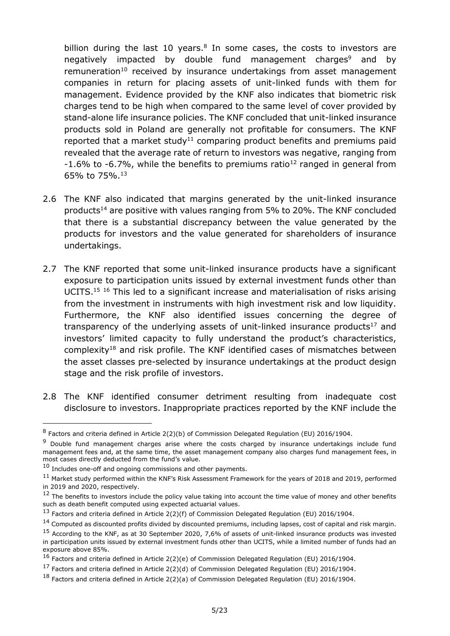billion during the last 10 years. $8$  In some cases, the costs to investors are negatively impacted by double fund management charges<sup>9</sup> and by remuneration<sup>10</sup> received by insurance undertakings from asset management companies in return for placing assets of unit-linked funds with them for management. Evidence provided by the KNF also indicates that biometric risk charges tend to be high when compared to the same level of cover provided by stand-alone life insurance policies. The KNF concluded that unit-linked insurance products sold in Poland are generally not profitable for consumers. The KNF reported that a market study<sup>11</sup> comparing product benefits and premiums paid revealed that the average rate of return to investors was negative, ranging from  $-1.6\%$  to  $-6.7\%$ , while the benefits to premiums ratio<sup>12</sup> ranged in general from 65% to 75%.<sup>13</sup>

- 2.6 The KNF also indicated that margins generated by the unit-linked insurance products<sup>14</sup> are positive with values ranging from 5% to 20%. The KNF concluded that there is a substantial discrepancy between the value generated by the products for investors and the value generated for shareholders of insurance undertakings.
- 2.7 The KNF reported that some unit-linked insurance products have a significant exposure to participation units issued by external investment funds other than UCITS.<sup>15</sup> <sup>16</sup> This led to a significant increase and materialisation of risks arising from the investment in instruments with high investment risk and low liquidity. Furthermore, the KNF also identified issues concerning the degree of transparency of the underlying assets of unit-linked insurance products<sup>17</sup> and investors' limited capacity to fully understand the product's characteristics, complexity<sup>18</sup> and risk profile. The KNF identified cases of mismatches between the asset classes pre-selected by insurance undertakings at the product design stage and the risk profile of investors.
- 2.8 The KNF identified consumer detriment resulting from inadequate cost disclosure to investors. Inappropriate practices reported by the KNF include the

<sup>&</sup>lt;sup>8</sup> Factors and criteria defined in Article 2(2)(b) of Commission Delegated Regulation (EU) 2016/1904.

<sup>&</sup>lt;sup>9</sup> Double fund management charges arise where the costs charged by insurance undertakings include fund management fees and, at the same time, the asset management company also charges fund management fees, in most cases directly deducted from the fund's value.

 $10$  Includes one-off and ongoing commissions and other payments.

<sup>11</sup> Market study performed within the KNF's Risk Assessment Framework for the years of 2018 and 2019, performed in 2019 and 2020, respectively.

 $12$  The benefits to investors include the policy value taking into account the time value of money and other benefits such as death benefit computed using expected actuarial values.

<sup>&</sup>lt;sup>13</sup> Factors and criteria defined in Article 2(2)(f) of Commission Delegated Regulation (EU) 2016/1904.

<sup>&</sup>lt;sup>14</sup> Computed as discounted profits divided by discounted premiums, including lapses, cost of capital and risk margin.

<sup>&</sup>lt;sup>15</sup> According to the KNF, as at 30 September 2020, 7,6% of assets of unit-linked insurance products was invested in participation units issued by external investment funds other than UCITS, while a limited number of funds had an exposure above 85%.

<sup>16</sup> Factors and criteria defined in Article 2(2)(e) of Commission Delegated Regulation (EU) 2016/1904.

<sup>17</sup> Factors and criteria defined in Article 2(2)(d) of Commission Delegated Regulation (EU) 2016/1904.

<sup>18</sup> Factors and criteria defined in Article 2(2)(a) of Commission Delegated Regulation (EU) 2016/1904.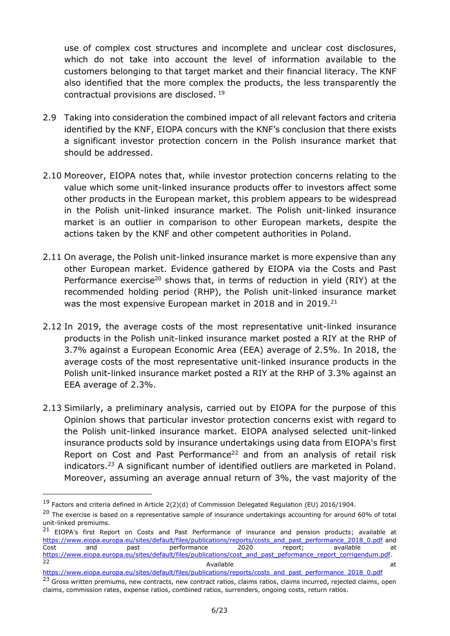use of complex cost structures and incomplete and unclear cost disclosures, which do not take into account the level of information available to the customers belonging to that target market and their financial literacy. The KNF also identified that the more complex the products, the less transparently the contractual provisions are disclosed. <sup>19</sup>

- 2.9 Taking into consideration the combined impact of all relevant factors and criteria identified by the KNF, EIOPA concurs with the KNF's conclusion that there exists a significant investor protection concern in the Polish insurance market that should be addressed.
- 2.10 Moreover, EIOPA notes that, while investor protection concerns relating to the value which some unit-linked insurance products offer to investors affect some other products in the European market, this problem appears to be widespread in the Polish unit-linked insurance market. The Polish unit-linked insurance market is an outlier in comparison to other European markets, despite the actions taken by the KNF and other competent authorities in Poland.
- 2.11 On average, the Polish unit-linked insurance market is more expensive than any other European market. Evidence gathered by EIOPA via the Costs and Past Performance exercise<sup>20</sup> shows that, in terms of reduction in yield (RIY) at the recommended holding period (RHP), the Polish unit-linked insurance market was the most expensive European market in 2018 and in 2019.<sup>21</sup>
- 2.12 In 2019, the average costs of the most representative unit-linked insurance products in the Polish unit-linked insurance market posted a RIY at the RHP of 3.7% against a European Economic Area (EEA) average of 2.5%. In 2018, the average costs of the most representative unit-linked insurance products in the Polish unit-linked insurance market posted a RIY at the RHP of 3.3% against an EEA average of 2.3%.
- 2.13 Similarly, a preliminary analysis, carried out by EIOPA for the purpose of this Opinion shows that particular investor protection concerns exist with regard to the Polish unit-linked insurance market. EIOPA analysed selected unit-linked insurance products sold by insurance undertakings using data from EIOPA's first Report on Cost and Past Performance<sup>22</sup> and from an analysis of retail risk indicators. <sup>23</sup> A significant number of identified outliers are marketed in Poland. Moreover, assuming an average annual return of 3%, the vast majority of the

<sup>&</sup>lt;sup>19</sup> Factors and criteria defined in Article 2(2)(d) of Commission Delegated Regulation (EU) 2016/1904.

 $20$  The exercise is based on a representative sample of insurance undertakings accounting for around 60% of total unit-linked premiums.

<sup>&</sup>lt;sup>21</sup> EIOPA's first Report on Costs and Past Performance of insurance and pension products; available at [https://www.eiopa.europa.eu/sites/default/files/publications/reports/costs\\_and\\_past\\_performance\\_2018\\_0.pdf](https://www.eiopa.europa.eu/sites/default/files/publications/reports/costs_and_past_performance_2018_0.pdf) and Cost and past performance 2020 report; available at [https://www.eiopa.europa.eu/sites/default/files/publications/cost\\_and\\_past\\_peformance\\_report\\_corrigendum.pdf.](https://www.eiopa.europa.eu/sites/default/files/publications/cost_and_past_peformance_report_corrigendum.pdf)<br>22 22 a component and the contract of Available and the contract of  $\alpha$  at  $\alpha$ 

[https://www.eiopa.europa.eu/sites/default/files/publications/reports/costs\\_and\\_past\\_performance\\_2018\\_0.pdf](https://www.eiopa.europa.eu/sites/default/files/publications/reports/costs_and_past_performance_2018_0.pdf)

<sup>&</sup>lt;sup>23</sup> Gross written premiums, new contracts, new contract ratios, claims ratios, claims incurred, rejected claims, open claims, commission rates, expense ratios, combined ratios, surrenders, ongoing costs, return ratios.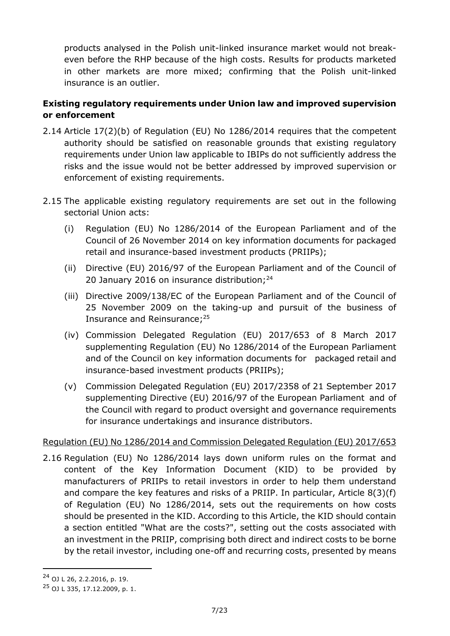products analysed in the Polish unit-linked insurance market would not breakeven before the RHP because of the high costs. Results for products marketed in other markets are more mixed; confirming that the Polish unit-linked insurance is an outlier.

# **Existing regulatory requirements under Union law and improved supervision or enforcement**

- 2.14 Article 17(2)(b) of Regulation (EU) No 1286/2014 requires that the competent authority should be satisfied on reasonable grounds that existing regulatory requirements under Union law applicable to IBIPs do not sufficiently address the risks and the issue would not be better addressed by improved supervision or enforcement of existing requirements.
- 2.15 The applicable existing regulatory requirements are set out in the following sectorial Union acts:
	- (i) Regulation (EU) No 1286/2014 of the European Parliament and of the Council of 26 November 2014 on key information documents for packaged retail and insurance-based investment products (PRIIPs);
	- (ii) Directive (EU) 2016/97 of the European Parliament and of the Council of 20 January 2016 on insurance distribution;<sup>24</sup>
	- (iii) Directive 2009/138/EC of the European Parliament and of the Council of 25 November 2009 on the taking-up and pursuit of the business of Insurance and Reinsurance; 25
	- (iv) Commission Delegated Regulation (EU) 2017/653 of 8 March 2017 supplementing Regulation (EU) No 1286/2014 of the European Parliament and of the Council on key information documents for packaged retail and insurance-based investment products (PRIIPs);
	- (v) Commission Delegated Regulation (EU) 2017/2358 of 21 September 2017 supplementing Directive (EU) 2016/97 of the European Parliament and of the Council with regard to product oversight and governance requirements for insurance undertakings and insurance distributors.

## Regulation (EU) No 1286/2014 and Commission Delegated Regulation (EU) 2017/653

2.16 Regulation (EU) No 1286/2014 lays down uniform rules on the format and content of the Key Information Document (KID) to be provided by manufacturers of PRIIPs to retail investors in order to help them understand and compare the key features and risks of a PRIIP. In particular, Article 8(3)(f) of Regulation (EU) No 1286/2014, sets out the requirements on how costs should be presented in the KID. According to this Article, the KID should contain a section entitled "What are the costs?", setting out the costs associated with an investment in the PRIIP, comprising both direct and indirect costs to be borne by the retail investor, including one-off and recurring costs, presented by means

<sup>24</sup> OJ L 26, 2.2.2016, p. 19.

<sup>25</sup> OJ L 335, 17.12.2009, p. 1.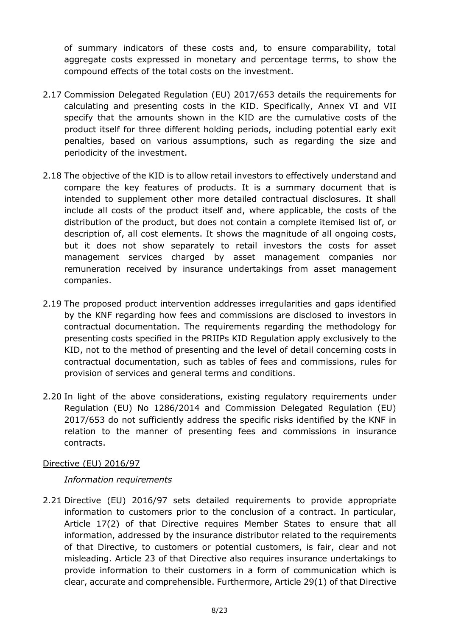of summary indicators of these costs and, to ensure comparability, total aggregate costs expressed in monetary and percentage terms, to show the compound effects of the total costs on the investment.

- 2.17 Commission Delegated Regulation (EU) 2017/653 details the requirements for calculating and presenting costs in the KID. Specifically, Annex VI and VII specify that the amounts shown in the KID are the cumulative costs of the product itself for three different holding periods, including potential early exit penalties, based on various assumptions, such as regarding the size and periodicity of the investment.
- 2.18 The objective of the KID is to allow retail investors to effectively understand and compare the key features of products. It is a summary document that is intended to supplement other more detailed contractual disclosures. It shall include all costs of the product itself and, where applicable, the costs of the distribution of the product, but does not contain a complete itemised list of, or description of, all cost elements. It shows the magnitude of all ongoing costs, but it does not show separately to retail investors the costs for asset management services charged by asset management companies nor remuneration received by insurance undertakings from asset management companies.
- 2.19 The proposed product intervention addresses irregularities and gaps identified by the KNF regarding how fees and commissions are disclosed to investors in contractual documentation. The requirements regarding the methodology for presenting costs specified in the PRIIPs KID Regulation apply exclusively to the KID, not to the method of presenting and the level of detail concerning costs in contractual documentation, such as tables of fees and commissions, rules for provision of services and general terms and conditions.
- 2.20 In light of the above considerations, existing regulatory requirements under Regulation (EU) No 1286/2014 and Commission Delegated Regulation (EU) 2017/653 do not sufficiently address the specific risks identified by the KNF in relation to the manner of presenting fees and commissions in insurance contracts.

#### Directive (EU) 2016/97

#### *Information requirements*

2.21 Directive (EU) 2016/97 sets detailed requirements to provide appropriate information to customers prior to the conclusion of a contract. In particular, Article 17(2) of that Directive requires Member States to ensure that all information, addressed by the insurance distributor related to the requirements of that Directive, to customers or potential customers, is fair, clear and not misleading. Article 23 of that Directive also requires insurance undertakings to provide information to their customers in a form of communication which is clear, accurate and comprehensible. Furthermore, Article 29(1) of that Directive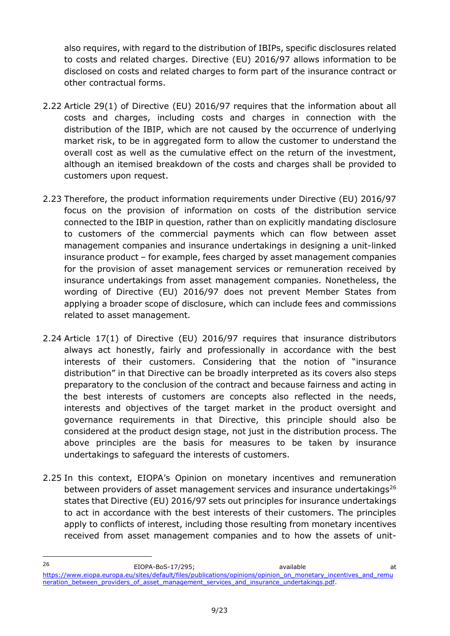also requires, with regard to the distribution of IBIPs, specific disclosures related to costs and related charges. Directive (EU) 2016/97 allows information to be disclosed on costs and related charges to form part of the insurance contract or other contractual forms.

- 2.22 Article 29(1) of Directive (EU) 2016/97 requires that the information about all costs and charges, including costs and charges in connection with the distribution of the IBIP, which are not caused by the occurrence of underlying market risk, to be in aggregated form to allow the customer to understand the overall cost as well as the cumulative effect on the return of the investment, although an itemised breakdown of the costs and charges shall be provided to customers upon request.
- 2.23 Therefore, the product information requirements under Directive (EU) 2016/97 focus on the provision of information on costs of the distribution service connected to the IBIP in question, rather than on explicitly mandating disclosure to customers of the commercial payments which can flow between asset management companies and insurance undertakings in designing a unit-linked insurance product – for example, fees charged by asset management companies for the provision of asset management services or remuneration received by insurance undertakings from asset management companies. Nonetheless, the wording of Directive (EU) 2016/97 does not prevent Member States from applying a broader scope of disclosure, which can include fees and commissions related to asset management.
- 2.24 Article 17(1) of Directive (EU) 2016/97 requires that insurance distributors always act honestly, fairly and professionally in accordance with the best interests of their customers. Considering that the notion of "insurance distribution" in that Directive can be broadly interpreted as its covers also steps preparatory to the conclusion of the contract and because fairness and acting in the best interests of customers are concepts also reflected in the needs, interests and objectives of the target market in the product oversight and governance requirements in that Directive, this principle should also be considered at the product design stage, not just in the distribution process. The above principles are the basis for measures to be taken by insurance undertakings to safeguard the interests of customers.
- 2.25 In this context, EIOPA's Opinion on monetary incentives and remuneration between providers of asset management services and insurance undertakings $^{26}$ states that Directive (EU) 2016/97 sets out principles for insurance undertakings to act in accordance with the best interests of their customers. The principles apply to conflicts of interest, including those resulting from monetary incentives received from asset management companies and to how the assets of unit-

<sup>26</sup> EIOPA-BoS-17/295; available at [https://www.eiopa.europa.eu/sites/default/files/publications/opinions/opinion\\_on\\_monetary\\_incentives\\_and\\_remu](https://www.eiopa.europa.eu/sites/default/files/publications/opinions/opinion_on_monetary_incentives_and_remuneration_between_providers_of_asset_management_services_and_insurance_undertakings.pdf) [neration\\_between\\_providers\\_of\\_asset\\_management\\_services\\_and\\_insurance\\_undertakings.pdf.](https://www.eiopa.europa.eu/sites/default/files/publications/opinions/opinion_on_monetary_incentives_and_remuneration_between_providers_of_asset_management_services_and_insurance_undertakings.pdf)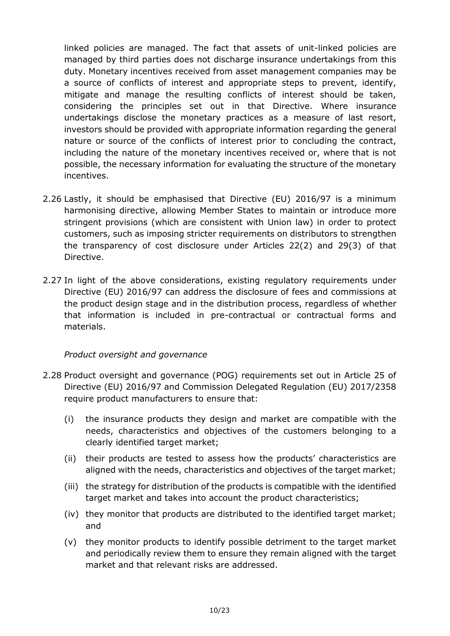linked policies are managed. The fact that assets of unit-linked policies are managed by third parties does not discharge insurance undertakings from this duty. Monetary incentives received from asset management companies may be a source of conflicts of interest and appropriate steps to prevent, identify, mitigate and manage the resulting conflicts of interest should be taken, considering the principles set out in that Directive. Where insurance undertakings disclose the monetary practices as a measure of last resort, investors should be provided with appropriate information regarding the general nature or source of the conflicts of interest prior to concluding the contract, including the nature of the monetary incentives received or, where that is not possible, the necessary information for evaluating the structure of the monetary incentives.

- 2.26 Lastly, it should be emphasised that Directive (EU) 2016/97 is a minimum harmonising directive, allowing Member States to maintain or introduce more stringent provisions (which are consistent with Union law) in order to protect customers, such as imposing stricter requirements on distributors to strengthen the transparency of cost disclosure under Articles 22(2) and 29(3) of that Directive.
- 2.27 In light of the above considerations, existing regulatory requirements under Directive (EU) 2016/97 can address the disclosure of fees and commissions at the product design stage and in the distribution process, regardless of whether that information is included in pre-contractual or contractual forms and materials.

#### *Product oversight and governance*

- 2.28 Product oversight and governance (POG) requirements set out in Article 25 of Directive (EU) 2016/97 and Commission Delegated Regulation (EU) 2017/2358 require product manufacturers to ensure that:
	- (i) the insurance products they design and market are compatible with the needs, characteristics and objectives of the customers belonging to a clearly identified target market;
	- (ii) their products are tested to assess how the products' characteristics are aligned with the needs, characteristics and objectives of the target market;
	- (iii) the strategy for distribution of the products is compatible with the identified target market and takes into account the product characteristics;
	- (iv) they monitor that products are distributed to the identified target market; and
	- (v) they monitor products to identify possible detriment to the target market and periodically review them to ensure they remain aligned with the target market and that relevant risks are addressed.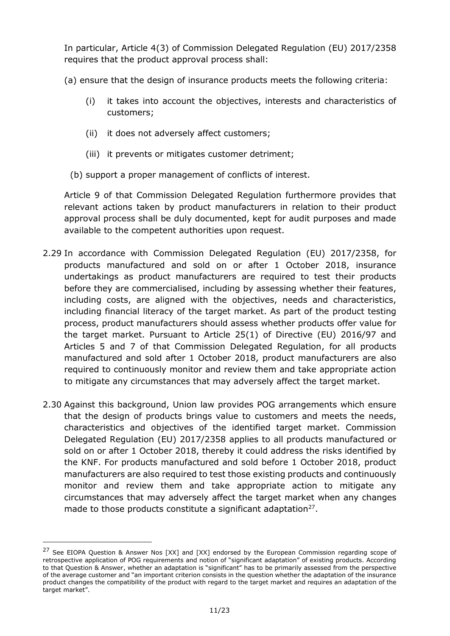In particular, Article 4(3) of Commission Delegated Regulation (EU) 2017/2358 requires that the product approval process shall:

(a) ensure that the design of insurance products meets the following criteria:

- (i) it takes into account the objectives, interests and characteristics of customers;
- (ii) it does not adversely affect customers;
- (iii) it prevents or mitigates customer detriment;
- (b) support a proper management of conflicts of interest.

Article 9 of that Commission Delegated Regulation furthermore provides that relevant actions taken by product manufacturers in relation to their product approval process shall be duly documented, kept for audit purposes and made available to the competent authorities upon request.

- 2.29 In accordance with Commission Delegated Regulation (EU) 2017/2358, for products manufactured and sold on or after 1 October 2018, insurance undertakings as product manufacturers are required to test their products before they are commercialised, including by assessing whether their features, including costs, are aligned with the objectives, needs and characteristics, including financial literacy of the target market. As part of the product testing process, product manufacturers should assess whether products offer value for the target market. Pursuant to Article 25(1) of Directive (EU) 2016/97 and Articles 5 and 7 of that Commission Delegated Regulation, for all products manufactured and sold after 1 October 2018, product manufacturers are also required to continuously monitor and review them and take appropriate action to mitigate any circumstances that may adversely affect the target market.
- 2.30 Against this background, Union law provides POG arrangements which ensure that the design of products brings value to customers and meets the needs, characteristics and objectives of the identified target market. Commission Delegated Regulation (EU) 2017/2358 applies to all products manufactured or sold on or after 1 October 2018, thereby it could address the risks identified by the KNF. For products manufactured and sold before 1 October 2018, product manufacturers are also required to test those existing products and continuously monitor and review them and take appropriate action to mitigate any circumstances that may adversely affect the target market when any changes made to those products constitute a significant adaptation $27$ .

<sup>&</sup>lt;sup>27</sup> See EIOPA Question & Answer Nos [XX] and [XX] endorsed by the European Commission regarding scope of retrospective application of POG requirements and notion of "significant adaptation" of existing products. According to that Question & Answer, whether an adaptation is "significant" has to be primarily assessed from the perspective of the average customer and "an important criterion consists in the question whether the adaptation of the insurance product changes the compatibility of the product with regard to the target market and requires an adaptation of the target market".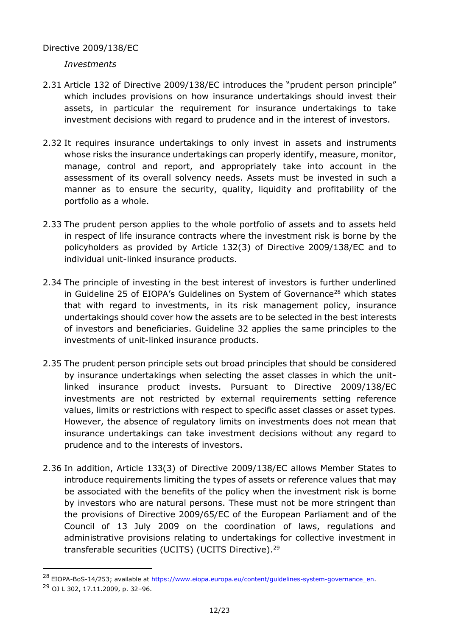#### Directive 2009/138/EC

*Investments*

- 2.31 Article 132 of Directive 2009/138/EC introduces the "prudent person principle" which includes provisions on how insurance undertakings should invest their assets, in particular the requirement for insurance undertakings to take investment decisions with regard to prudence and in the interest of investors.
- 2.32 It requires insurance undertakings to only invest in assets and instruments whose risks the insurance undertakings can properly identify, measure, monitor, manage, control and report, and appropriately take into account in the assessment of its overall solvency needs. Assets must be invested in such a manner as to ensure the security, quality, liquidity and profitability of the portfolio as a whole.
- 2.33 The prudent person applies to the whole portfolio of assets and to assets held in respect of life insurance contracts where the investment risk is borne by the policyholders as provided by Article 132(3) of Directive 2009/138/EC and to individual unit-linked insurance products.
- 2.34 The principle of investing in the best interest of investors is further underlined in Guideline 25 of EIOPA's Guidelines on System of Governance<sup>28</sup> which states that with regard to investments, in its risk management policy, insurance undertakings should cover how the assets are to be selected in the best interests of investors and beneficiaries. Guideline 32 applies the same principles to the investments of unit-linked insurance products.
- 2.35 The prudent person principle sets out broad principles that should be considered by insurance undertakings when selecting the asset classes in which the unitlinked insurance product invests. Pursuant to Directive 2009/138/EC investments are not restricted by external requirements setting reference values, limits or restrictions with respect to specific asset classes or asset types. However, the absence of regulatory limits on investments does not mean that insurance undertakings can take investment decisions without any regard to prudence and to the interests of investors.
- 2.36 In addition, Article 133(3) of Directive 2009/138/EC allows Member States to introduce requirements limiting the types of assets or reference values that may be associated with the benefits of the policy when the investment risk is borne by investors who are natural persons. These must not be more stringent than the provisions of Directive 2009/65/EC of the European Parliament and of the Council of 13 July 2009 on the coordination of laws, regulations and administrative provisions relating to undertakings for collective investment in transferable securities (UCITS) (UCITS Directive). 29

<sup>&</sup>lt;sup>28</sup> EIOPA-BoS-14/253; available at [https://www.eiopa.europa.eu/content/guidelines-system-governance\\_en.](https://www.eiopa.europa.eu/content/guidelines-system-governance_en) <sup>29</sup> OJ L 302, 17.11.2009, p. 32–96.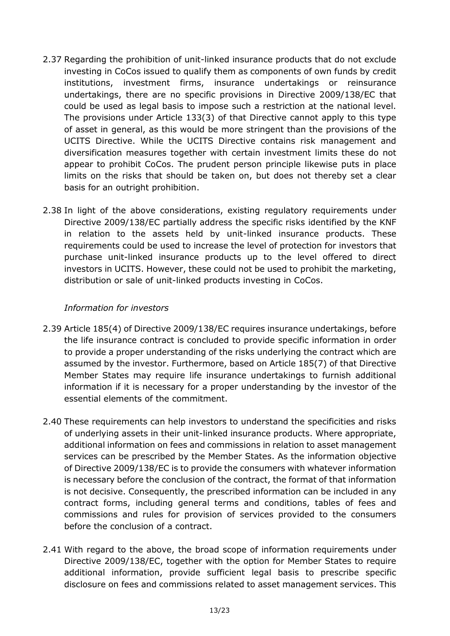- 2.37 Regarding the prohibition of unit-linked insurance products that do not exclude investing in CoCos issued to qualify them as components of own funds by credit institutions, investment firms, insurance undertakings or reinsurance undertakings, there are no specific provisions in Directive 2009/138/EC that could be used as legal basis to impose such a restriction at the national level. The provisions under Article 133(3) of that Directive cannot apply to this type of asset in general, as this would be more stringent than the provisions of the UCITS Directive. While the UCITS Directive contains risk management and diversification measures together with certain investment limits these do not appear to prohibit CoCos. The prudent person principle likewise puts in place limits on the risks that should be taken on, but does not thereby set a clear basis for an outright prohibition.
- 2.38 In light of the above considerations, existing regulatory requirements under Directive 2009/138/EC partially address the specific risks identified by the KNF in relation to the assets held by unit-linked insurance products. These requirements could be used to increase the level of protection for investors that purchase unit-linked insurance products up to the level offered to direct investors in UCITS. However, these could not be used to prohibit the marketing, distribution or sale of unit-linked products investing in CoCos.

#### *Information for investors*

- 2.39 Article 185(4) of Directive 2009/138/EC requires insurance undertakings, before the life insurance contract is concluded to provide specific information in order to provide a proper understanding of the risks underlying the contract which are assumed by the investor. Furthermore, based on Article 185(7) of that Directive Member States may require life insurance undertakings to furnish additional information if it is necessary for a proper understanding by the investor of the essential elements of the commitment.
- 2.40 These requirements can help investors to understand the specificities and risks of underlying assets in their unit-linked insurance products. Where appropriate, additional information on fees and commissions in relation to asset management services can be prescribed by the Member States. As the information objective of Directive 2009/138/EC is to provide the consumers with whatever information is necessary before the conclusion of the contract, the format of that information is not decisive. Consequently, the prescribed information can be included in any contract forms, including general terms and conditions, tables of fees and commissions and rules for provision of services provided to the consumers before the conclusion of a contract.
- 2.41 With regard to the above, the broad scope of information requirements under Directive 2009/138/EC, together with the option for Member States to require additional information, provide sufficient legal basis to prescribe specific disclosure on fees and commissions related to asset management services. This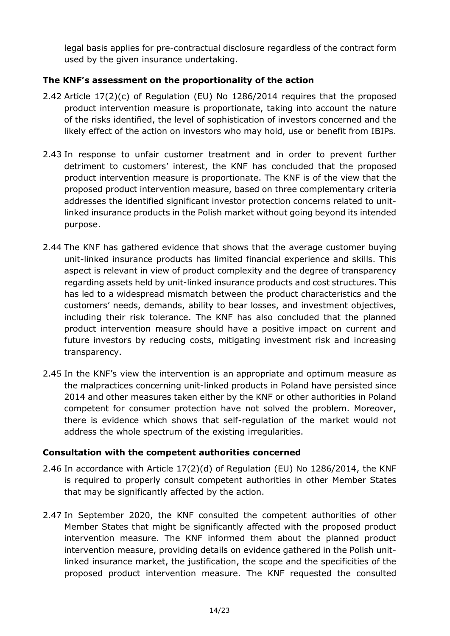legal basis applies for pre-contractual disclosure regardless of the contract form used by the given insurance undertaking.

## **The KNF's assessment on the proportionality of the action**

- 2.42 Article 17(2)(c) of Regulation (EU) No 1286/2014 requires that the proposed product intervention measure is proportionate, taking into account the nature of the risks identified, the level of sophistication of investors concerned and the likely effect of the action on investors who may hold, use or benefit from IBIPs.
- 2.43 In response to unfair customer treatment and in order to prevent further detriment to customers' interest, the KNF has concluded that the proposed product intervention measure is proportionate. The KNF is of the view that the proposed product intervention measure, based on three complementary criteria addresses the identified significant investor protection concerns related to unitlinked insurance products in the Polish market without going beyond its intended purpose.
- 2.44 The KNF has gathered evidence that shows that the average customer buying unit-linked insurance products has limited financial experience and skills. This aspect is relevant in view of product complexity and the degree of transparency regarding assets held by unit-linked insurance products and cost structures. This has led to a widespread mismatch between the product characteristics and the customers' needs, demands, ability to bear losses, and investment objectives, including their risk tolerance. The KNF has also concluded that the planned product intervention measure should have a positive impact on current and future investors by reducing costs, mitigating investment risk and increasing transparency.
- 2.45 In the KNF's view the intervention is an appropriate and optimum measure as the malpractices concerning unit-linked products in Poland have persisted since 2014 and other measures taken either by the KNF or other authorities in Poland competent for consumer protection have not solved the problem. Moreover, there is evidence which shows that self-regulation of the market would not address the whole spectrum of the existing irregularities.

## **Consultation with the competent authorities concerned**

- 2.46 In accordance with Article 17(2)(d) of Regulation (EU) No 1286/2014, the KNF is required to properly consult competent authorities in other Member States that may be significantly affected by the action.
- 2.47 In September 2020, the KNF consulted the competent authorities of other Member States that might be significantly affected with the proposed product intervention measure. The KNF informed them about the planned product intervention measure, providing details on evidence gathered in the Polish unitlinked insurance market, the justification, the scope and the specificities of the proposed product intervention measure. The KNF requested the consulted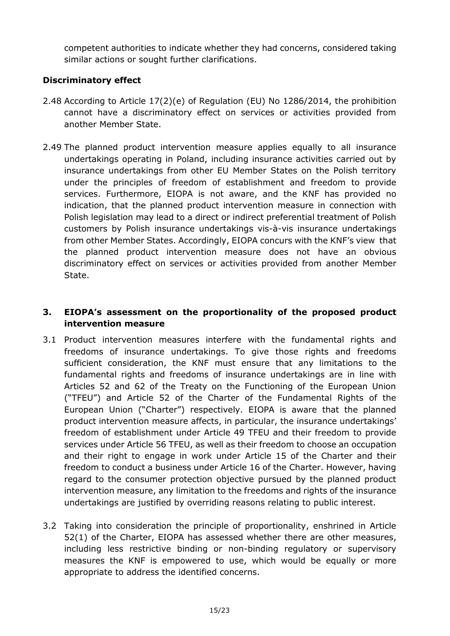competent authorities to indicate whether they had concerns, considered taking similar actions or sought further clarifications.

## **Discriminatory effect**

- 2.48 According to Article 17(2)(e) of Regulation (EU) No 1286/2014, the prohibition cannot have a discriminatory effect on services or activities provided from another Member State.
- 2.49 The planned product intervention measure applies equally to all insurance undertakings operating in Poland, including insurance activities carried out by insurance undertakings from other EU Member States on the Polish territory under the principles of freedom of establishment and freedom to provide services. Furthermore, EIOPA is not aware, and the KNF has provided no indication, that the planned product intervention measure in connection with Polish legislation may lead to a direct or indirect preferential treatment of Polish customers by Polish insurance undertakings vis-à-vis insurance undertakings from other Member States. Accordingly, EIOPA concurs with the KNF's view that the planned product intervention measure does not have an obvious discriminatory effect on services or activities provided from another Member State.

# **3. EIOPA's assessment on the proportionality of the proposed product intervention measure**

- 3.1 Product intervention measures interfere with the fundamental rights and freedoms of insurance undertakings. To give those rights and freedoms sufficient consideration, the KNF must ensure that any limitations to the fundamental rights and freedoms of insurance undertakings are in line with Articles 52 and 62 of the Treaty on the Functioning of the European Union ("TFEU") and Article 52 of the Charter of the Fundamental Rights of the European Union ("Charter") respectively. EIOPA is aware that the planned product intervention measure affects, in particular, the insurance undertakings' freedom of establishment under Article 49 TFEU and their freedom to provide services under Article 56 TFEU, as well as their freedom to choose an occupation and their right to engage in work under Article 15 of the Charter and their freedom to conduct a business under Article 16 of the Charter. However, having regard to the consumer protection objective pursued by the planned product intervention measure, any limitation to the freedoms and rights of the insurance undertakings are justified by overriding reasons relating to public interest.
- 3.2 Taking into consideration the principle of proportionality, enshrined in Article 52(1) of the Charter, EIOPA has assessed whether there are other measures, including less restrictive binding or non-binding regulatory or supervisory measures the KNF is empowered to use, which would be equally or more appropriate to address the identified concerns.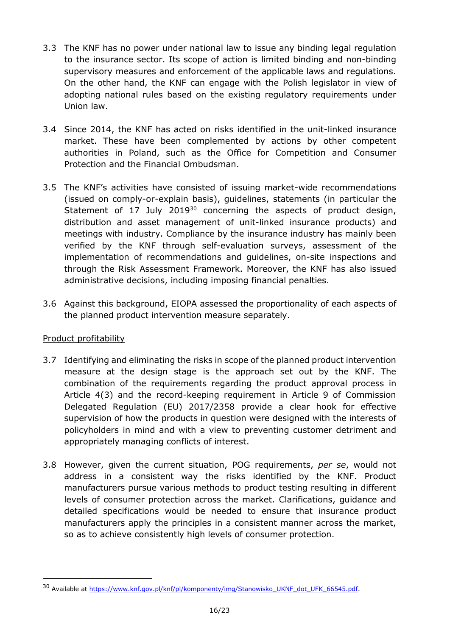- 3.3 The KNF has no power under national law to issue any binding legal regulation to the insurance sector. Its scope of action is limited binding and non-binding supervisory measures and enforcement of the applicable laws and regulations. On the other hand, the KNF can engage with the Polish legislator in view of adopting national rules based on the existing regulatory requirements under Union law.
- 3.4 Since 2014, the KNF has acted on risks identified in the unit-linked insurance market. These have been complemented by actions by other competent authorities in Poland, such as the Office for Competition and Consumer Protection and the Financial Ombudsman.
- 3.5 The KNF's activities have consisted of issuing market-wide recommendations (issued on comply-or-explain basis), guidelines, statements (in particular the Statement of 17 July 2019 $30$  concerning the aspects of product design, distribution and asset management of unit-linked insurance products) and meetings with industry. Compliance by the insurance industry has mainly been verified by the KNF through self-evaluation surveys, assessment of the implementation of recommendations and guidelines, on-site inspections and through the Risk Assessment Framework. Moreover, the KNF has also issued administrative decisions, including imposing financial penalties.
- 3.6 Against this background, EIOPA assessed the proportionality of each aspects of the planned product intervention measure separately.

## Product profitability

- 3.7 Identifying and eliminating the risks in scope of the planned product intervention measure at the design stage is the approach set out by the KNF. The combination of the requirements regarding the product approval process in Article 4(3) and the record-keeping requirement in Article 9 of Commission Delegated Regulation (EU) 2017/2358 provide a clear hook for effective supervision of how the products in question were designed with the interests of policyholders in mind and with a view to preventing customer detriment and appropriately managing conflicts of interest.
- 3.8 However, given the current situation, POG requirements, *per se*, would not address in a consistent way the risks identified by the KNF. Product manufacturers pursue various methods to product testing resulting in different levels of consumer protection across the market. Clarifications, guidance and detailed specifications would be needed to ensure that insurance product manufacturers apply the principles in a consistent manner across the market, so as to achieve consistently high levels of consumer protection.

<sup>&</sup>lt;sup>30</sup> Available at [https://www.knf.gov.pl/knf/pl/komponenty/img/Stanowisko\\_UKNF\\_dot\\_UFK\\_66545.pdf.](https://www.knf.gov.pl/knf/pl/komponenty/img/Stanowisko_UKNF_dot_UFK_66545.pdf)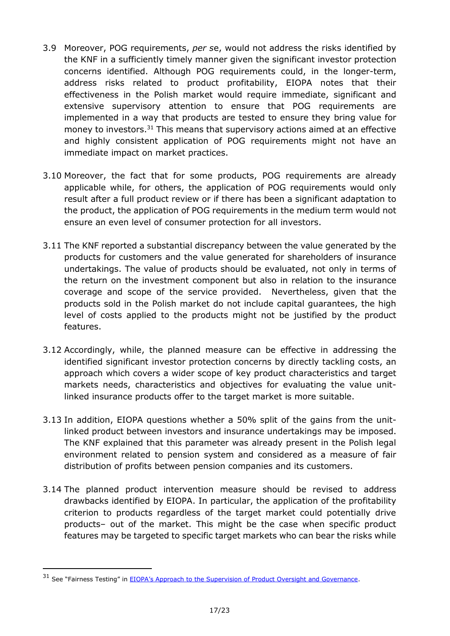- 3.9 Moreover, POG requirements, *per s*e, would not address the risks identified by the KNF in a sufficiently timely manner given the significant investor protection concerns identified. Although POG requirements could, in the longer-term, address risks related to product profitability, EIOPA notes that their effectiveness in the Polish market would require immediate, significant and extensive supervisory attention to ensure that POG requirements are implemented in a way that products are tested to ensure they bring value for money to investors.<sup>31</sup> This means that supervisory actions aimed at an effective and highly consistent application of POG requirements might not have an immediate impact on market practices.
- 3.10 Moreover, the fact that for some products, POG requirements are already applicable while, for others, the application of POG requirements would only result after a full product review or if there has been a significant adaptation to the product, the application of POG requirements in the medium term would not ensure an even level of consumer protection for all investors.
- 3.11 The KNF reported a substantial discrepancy between the value generated by the products for customers and the value generated for shareholders of insurance undertakings. The value of products should be evaluated, not only in terms of the return on the investment component but also in relation to the insurance coverage and scope of the service provided. Nevertheless, given that the products sold in the Polish market do not include capital guarantees, the high level of costs applied to the products might not be justified by the product features.
- 3.12 Accordingly, while, the planned measure can be effective in addressing the identified significant investor protection concerns by directly tackling costs, an approach which covers a wider scope of key product characteristics and target markets needs, characteristics and objectives for evaluating the value unitlinked insurance products offer to the target market is more suitable.
- 3.13 In addition, EIOPA questions whether a 50% split of the gains from the unitlinked product between investors and insurance undertakings may be imposed. The KNF explained that this parameter was already present in the Polish legal environment related to pension system and considered as a measure of fair distribution of profits between pension companies and its customers.
- 3.14 The planned product intervention measure should be revised to address drawbacks identified by EIOPA. In particular, the application of the profitability criterion to products regardless of the target market could potentially drive products– out of the market. This might be the case when specific product features may be targeted to specific target markets who can bear the risks while

<sup>&</sup>lt;sup>31</sup> See "Fairness Testing" in [EIOPA's Approach to the Supervision of Product Oversight and Governance](https://www.eiopa.europa.eu/content/eiopa-approach-supervision-product-oversight-and-governance_en).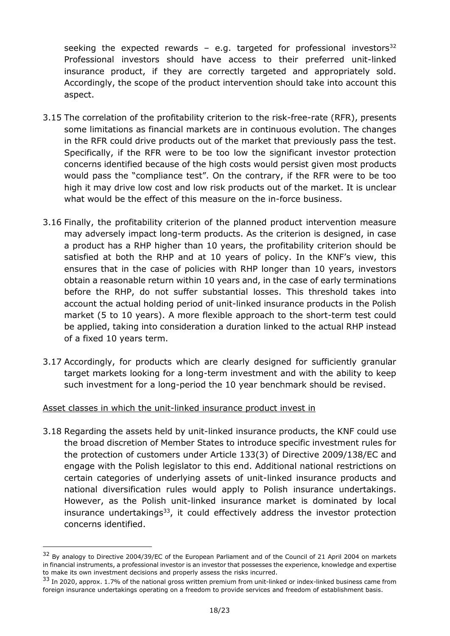seeking the expected rewards - e.g. targeted for professional investors<sup>32</sup> Professional investors should have access to their preferred unit-linked insurance product, if they are correctly targeted and appropriately sold. Accordingly, the scope of the product intervention should take into account this aspect.

- 3.15 The correlation of the profitability criterion to the risk-free-rate (RFR), presents some limitations as financial markets are in continuous evolution. The changes in the RFR could drive products out of the market that previously pass the test. Specifically, if the RFR were to be too low the significant investor protection concerns identified because of the high costs would persist given most products would pass the "compliance test". On the contrary, if the RFR were to be too high it may drive low cost and low risk products out of the market. It is unclear what would be the effect of this measure on the in-force business.
- 3.16 Finally, the profitability criterion of the planned product intervention measure may adversely impact long-term products. As the criterion is designed, in case a product has a RHP higher than 10 years, the profitability criterion should be satisfied at both the RHP and at 10 years of policy. In the KNF's view, this ensures that in the case of policies with RHP longer than 10 years, investors obtain a reasonable return within 10 years and, in the case of early terminations before the RHP, do not suffer substantial losses. This threshold takes into account the actual holding period of unit-linked insurance products in the Polish market (5 to 10 years). A more flexible approach to the short-term test could be applied, taking into consideration a duration linked to the actual RHP instead of a fixed 10 years term.
- 3.17 Accordingly, for products which are clearly designed for sufficiently granular target markets looking for a long-term investment and with the ability to keep such investment for a long-period the 10 year benchmark should be revised.

#### Asset classes in which the unit-linked insurance product invest in

-

3.18 Regarding the assets held by unit-linked insurance products, the KNF could use the broad discretion of Member States to introduce specific investment rules for the protection of customers under Article 133(3) of Directive 2009/138/EC and engage with the Polish legislator to this end. Additional national restrictions on certain categories of underlying assets of unit-linked insurance products and national diversification rules would apply to Polish insurance undertakings. However, as the Polish unit-linked insurance market is dominated by local insurance undertakings<sup>33</sup>, it could effectively address the investor protection concerns identified.

<sup>&</sup>lt;sup>32</sup> By analogy to Directive 2004/39/EC of the European Parliament and of the Council of 21 April 2004 on markets in financial instruments, a professional investor is an investor that possesses the experience, knowledge and expertise to make its own investment decisions and properly assess the risks incurred.

 $33$  In 2020, approx. 1.7% of the national gross written premium from unit-linked or index-linked business came from foreign insurance undertakings operating on a freedom to provide services and freedom of establishment basis.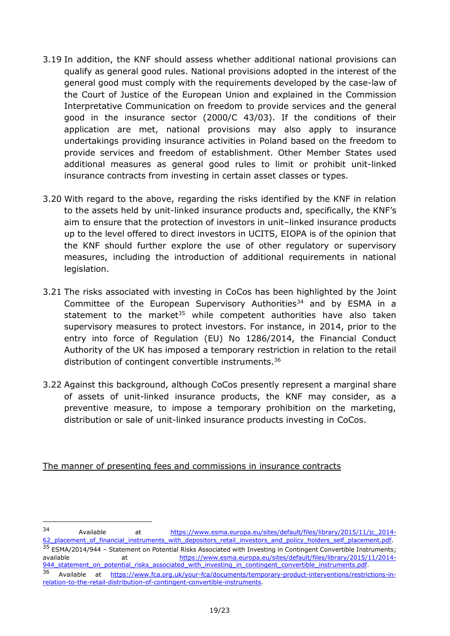- 3.19 In addition, the KNF should assess whether additional national provisions can qualify as general good rules. National provisions adopted in the interest of the general good must comply with the requirements developed by the case-law of the Court of Justice of the European Union and explained in the Commission Interpretative Communication on freedom to provide services and the general good in the insurance sector (2000/C 43/03). If the conditions of their application are met, national provisions may also apply to insurance undertakings providing insurance activities in Poland based on the freedom to provide services and freedom of establishment. Other Member States used additional measures as general good rules to limit or prohibit unit-linked insurance contracts from investing in certain asset classes or types.
- 3.20 With regard to the above, regarding the risks identified by the KNF in relation to the assets held by unit-linked insurance products and, specifically, the KNF's aim to ensure that the protection of investors in unit–linked insurance products up to the level offered to direct investors in UCITS, EIOPA is of the opinion that the KNF should further explore the use of other regulatory or supervisory measures, including the introduction of additional requirements in national legislation.
- 3.21 The risks associated with investing in CoCos has been highlighted by the Joint Committee of the European Supervisory Authorities<sup>34</sup> and by ESMA in a statement to the market<sup>35</sup> while competent authorities have also taken supervisory measures to protect investors. For instance, in 2014, prior to the entry into force of Regulation (EU) No 1286/2014, the Financial Conduct Authority of the UK has imposed a temporary restriction in relation to the retail distribution of contingent convertible instruments.<sup>36</sup>
- 3.22 Against this background, although CoCos presently represent a marginal share of assets of unit-linked insurance products, the KNF may consider, as a preventive measure, to impose a temporary prohibition on the marketing, distribution or sale of unit-linked insurance products investing in CoCos.

The manner of presenting fees and commissions in insurance contracts

<sup>34</sup> Available at [https://www.esma.europa.eu/sites/default/files/library/2015/11/jc\\_2014-](https://www.esma.europa.eu/sites/default/files/library/2015/11/jc_2014-62_placement_of_financial_instruments_with_depositors_retail_investors_and_policy_holders_self_placement.pdf) 62 placement of financial instruments with depositors retail investors and policy holders self placement.pdf. <sup>35</sup> ESMA/2014/944 - Statement on Potential Risks Associated with Investing in Contingent Convertible Instruments; available at [https://www.esma.europa.eu/sites/default/files/library/2015/11/2014-](https://www.esma.europa.eu/sites/default/files/library/2015/11/2014-944_statement_on_potential_risks_associated_with_investing_in_contingent_convertible_instruments.pdf) 944 statement on potential risks associated with investing in contingent convertible instruments.pdf.

<sup>36</sup> Available at [https://www.fca.org.uk/your-fca/documents/temporary-product-interventions/restrictions-in](https://www.fca.org.uk/your-fca/documents/temporary-product-interventions/restrictions-in-relation-to-the-retail-distribution-of-contingent-convertible-instruments)[relation-to-the-retail-distribution-of-contingent-convertible-instruments.](https://www.fca.org.uk/your-fca/documents/temporary-product-interventions/restrictions-in-relation-to-the-retail-distribution-of-contingent-convertible-instruments)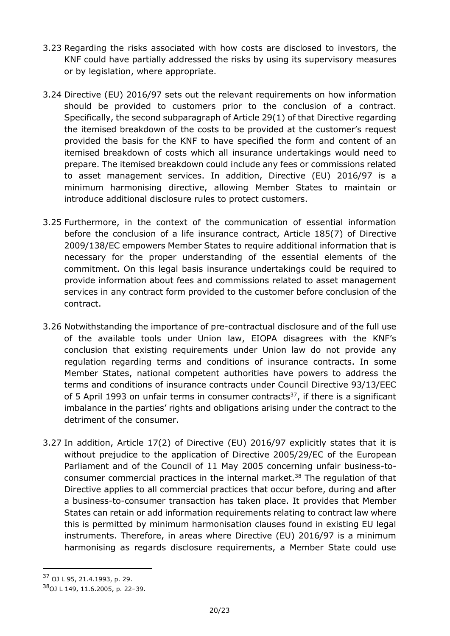- 3.23 Regarding the risks associated with how costs are disclosed to investors, the KNF could have partially addressed the risks by using its supervisory measures or by legislation, where appropriate.
- 3.24 Directive (EU) 2016/97 sets out the relevant requirements on how information should be provided to customers prior to the conclusion of a contract. Specifically, the second subparagraph of Article 29(1) of that Directive regarding the itemised breakdown of the costs to be provided at the customer's request provided the basis for the KNF to have specified the form and content of an itemised breakdown of costs which all insurance undertakings would need to prepare. The itemised breakdown could include any fees or commissions related to asset management services. In addition, Directive (EU) 2016/97 is a minimum harmonising directive, allowing Member States to maintain or introduce additional disclosure rules to protect customers.
- 3.25 Furthermore, in the context of the communication of essential information before the conclusion of a life insurance contract, Article 185(7) of Directive 2009/138/EC empowers Member States to require additional information that is necessary for the proper understanding of the essential elements of the commitment. On this legal basis insurance undertakings could be required to provide information about fees and commissions related to asset management services in any contract form provided to the customer before conclusion of the contract.
- 3.26 Notwithstanding the importance of pre-contractual disclosure and of the full use of the available tools under Union law, EIOPA disagrees with the KNF's conclusion that existing requirements under Union law do not provide any regulation regarding terms and conditions of insurance contracts. In some Member States, national competent authorities have powers to address the terms and conditions of insurance contracts under Council Directive 93/13/EEC of 5 April 1993 on unfair terms in consumer contracts<sup>37</sup>, if there is a significant imbalance in the parties' rights and obligations arising under the contract to the detriment of the consumer.
- 3.27 In addition, Article 17(2) of Directive (EU) 2016/97 explicitly states that it is without prejudice to the application of Directive 2005/29/EC of the European Parliament and of the Council of 11 May 2005 concerning unfair business-toconsumer commercial practices in the internal market. <sup>38</sup> The regulation of that Directive applies to all commercial practices that occur before, during and after a business-to-consumer transaction has taken place. It provides that Member States can retain or add information requirements relating to contract law where this is permitted by minimum harmonisation clauses found in existing EU legal instruments. Therefore, in areas where Directive (EU) 2016/97 is a minimum harmonising as regards disclosure requirements, a Member State could use

<sup>37</sup> OJ L 95, 21.4.1993, p. 29.

<sup>38</sup>OJ L 149, 11.6.2005, p. 22–39.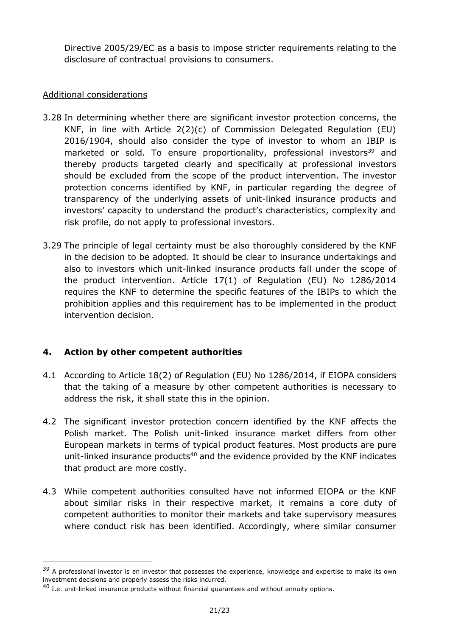Directive 2005/29/EC as a basis to impose stricter requirements relating to the disclosure of contractual provisions to consumers.

## Additional considerations

- 3.28 In determining whether there are significant investor protection concerns, the KNF, in line with Article 2(2)(c) of Commission Delegated Regulation (EU) 2016/1904, should also consider the type of investor to whom an IBIP is marketed or sold. To ensure proportionality, professional investors<sup>39</sup> and thereby products targeted clearly and specifically at professional investors should be excluded from the scope of the product intervention. The investor protection concerns identified by KNF, in particular regarding the degree of transparency of the underlying assets of unit-linked insurance products and investors' capacity to understand the product's characteristics, complexity and risk profile, do not apply to professional investors.
- 3.29 The principle of legal certainty must be also thoroughly considered by the KNF in the decision to be adopted. It should be clear to insurance undertakings and also to investors which unit-linked insurance products fall under the scope of the product intervention. Article 17(1) of Regulation (EU) No 1286/2014 requires the KNF to determine the specific features of the IBIPs to which the prohibition applies and this requirement has to be implemented in the product intervention decision.

## **4. Action by other competent authorities**

- 4.1 According to Article 18(2) of Regulation (EU) No 1286/2014, if EIOPA considers that the taking of a measure by other competent authorities is necessary to address the risk, it shall state this in the opinion.
- 4.2 The significant investor protection concern identified by the KNF affects the Polish market. The Polish unit-linked insurance market differs from other European markets in terms of typical product features. Most products are pure unit-linked insurance products<sup>40</sup> and the evidence provided by the KNF indicates that product are more costly.
- 4.3 While competent authorities consulted have not informed EIOPA or the KNF about similar risks in their respective market, it remains a core duty of competent authorities to monitor their markets and take supervisory measures where conduct risk has been identified. Accordingly, where similar consumer

<sup>&</sup>lt;sup>39</sup> A professional investor is an investor that possesses the experience, knowledge and expertise to make its own investment decisions and properly assess the risks incurred.

 $^{40}$  I.e. unit-linked insurance products without financial guarantees and without annuity options.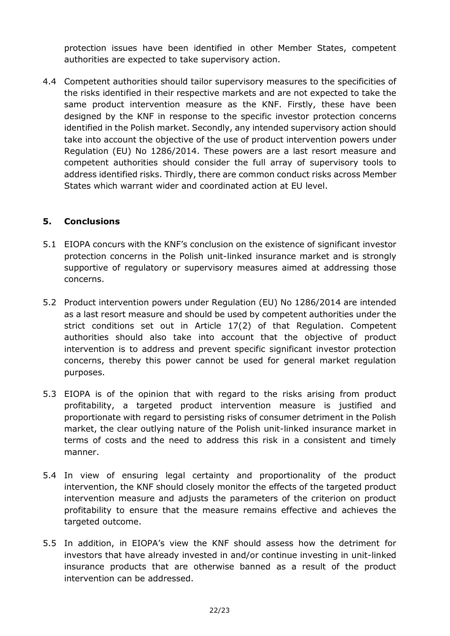protection issues have been identified in other Member States, competent authorities are expected to take supervisory action.

4.4 Competent authorities should tailor supervisory measures to the specificities of the risks identified in their respective markets and are not expected to take the same product intervention measure as the KNF. Firstly, these have been designed by the KNF in response to the specific investor protection concerns identified in the Polish market. Secondly, any intended supervisory action should take into account the objective of the use of product intervention powers under Regulation (EU) No 1286/2014. These powers are a last resort measure and competent authorities should consider the full array of supervisory tools to address identified risks. Thirdly, there are common conduct risks across Member States which warrant wider and coordinated action at EU level.

### **5. Conclusions**

- 5.1 EIOPA concurs with the KNF's conclusion on the existence of significant investor protection concerns in the Polish unit-linked insurance market and is strongly supportive of regulatory or supervisory measures aimed at addressing those concerns.
- 5.2 Product intervention powers under Regulation (EU) No 1286/2014 are intended as a last resort measure and should be used by competent authorities under the strict conditions set out in Article 17(2) of that Regulation. Competent authorities should also take into account that the objective of product intervention is to address and prevent specific significant investor protection concerns, thereby this power cannot be used for general market regulation purposes.
- 5.3 EIOPA is of the opinion that with regard to the risks arising from product profitability, a targeted product intervention measure is justified and proportionate with regard to persisting risks of consumer detriment in the Polish market, the clear outlying nature of the Polish unit-linked insurance market in terms of costs and the need to address this risk in a consistent and timely manner.
- 5.4 In view of ensuring legal certainty and proportionality of the product intervention, the KNF should closely monitor the effects of the targeted product intervention measure and adjusts the parameters of the criterion on product profitability to ensure that the measure remains effective and achieves the targeted outcome.
- 5.5 In addition, in EIOPA's view the KNF should assess how the detriment for investors that have already invested in and/or continue investing in unit-linked insurance products that are otherwise banned as a result of the product intervention can be addressed.